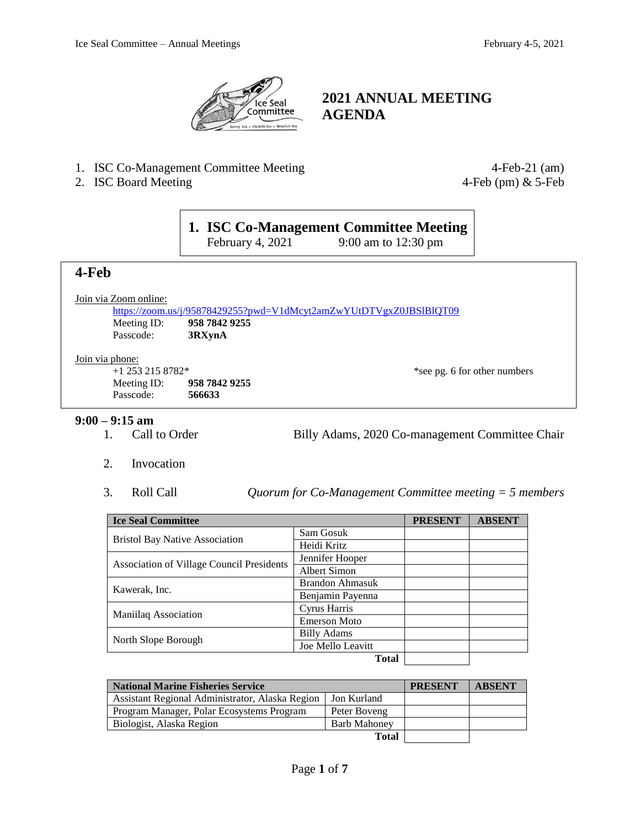

# **2021 ANNUAL MEETING AGENDA**

- 1. ISC Co-Management Committee Meeting 4-Feb-21 (am)
- 2. ISC Board Meeting 4-Feb (pm) & 5-Feb

# **1. ISC Co-Management Committee Meeting**<br>February 4, 2021 9:00 am to 12:30 pm

9:00 am to  $12:30 \text{ pm}$ 

# **4-Feb**

Join via Zoom online:

<https://zoom.us/j/95878429255?pwd=V1dMcyt2amZwYUtDTVgxZ0JBSlBlQT09> Meeting ID: **958 7842 9255** Passcode: **3RXynA**

#### Join via phone:

+1 253 215 8782\* \*see pg. 6 for other numbers Meeting ID: **958 7842 9255** Passcode: **566633**

## **9:00 – 9:15 am**

1. Call to Order Billy Adams, 2020 Co-management Committee Chair

- 2. Invocation
- 3. Roll Call *Quorum for Co-Management Committee meeting = 5 members*

| <b>Ice Seal Committee</b>                 |                        | <b>PRESENT</b> | <b>ABSENT</b> |
|-------------------------------------------|------------------------|----------------|---------------|
| <b>Bristol Bay Native Association</b>     | Sam Gosuk              |                |               |
|                                           | Heidi Kritz            |                |               |
|                                           | Jennifer Hooper        |                |               |
| Association of Village Council Presidents | Albert Simon           |                |               |
|                                           | <b>Brandon Ahmasuk</b> |                |               |
| Kawerak, Inc.                             | Benjamin Payenna       |                |               |
|                                           | Cyrus Harris           |                |               |
| Maniilaq Association                      | <b>Emerson Moto</b>    |                |               |
|                                           | <b>Billy Adams</b>     |                |               |
| North Slope Borough                       | Joe Mello Leavitt      |                |               |
|                                           | <b>Total</b>           |                |               |

| <b>National Marine Fisheries Service</b>        |                     | <b>PRESENT</b> | <b>ABSENT</b> |
|-------------------------------------------------|---------------------|----------------|---------------|
| Assistant Regional Administrator, Alaska Region | l Jon Kurland       |                |               |
| Program Manager, Polar Ecosystems Program       | Peter Boveng        |                |               |
| Biologist, Alaska Region                        | <b>Barb Mahoney</b> |                |               |
|                                                 | <b>Total</b>        |                |               |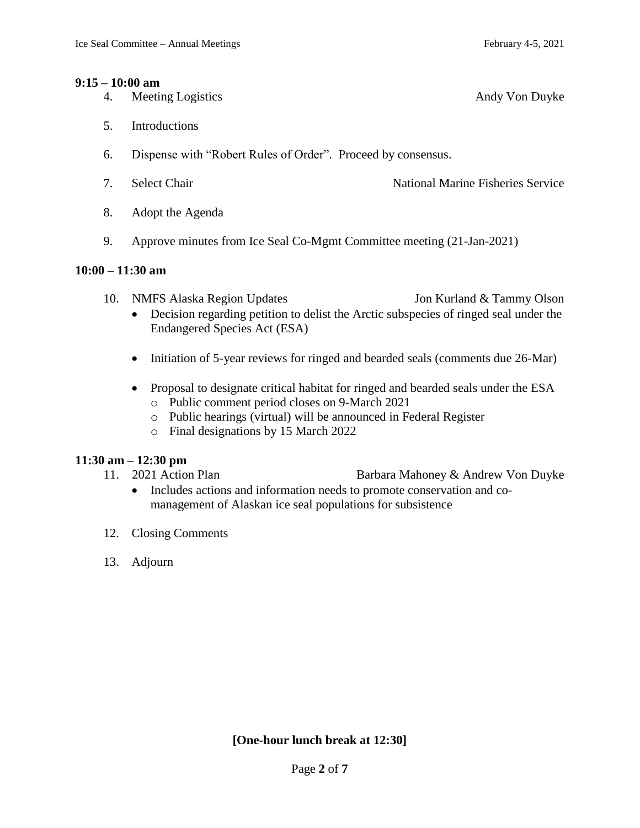#### **9:15 – 10:00 am**

- 4. Meeting Logistics Andy Von Duyke
- 5. Introductions
- 6. Dispense with "Robert Rules of Order". Proceed by consensus.
- 7. Select Chair **National Marine Fisheries Service** National Marine Fisheries Service
- 8. Adopt the Agenda
- 9. Approve minutes from Ice Seal Co-Mgmt Committee meeting (21-Jan-2021)

#### **10:00 – 11:30 am**

- 10. NMFS Alaska Region Updates Jon Kurland & Tammy Olson
- - Decision regarding petition to delist the Arctic subspecies of ringed seal under the Endangered Species Act (ESA)
	- Initiation of 5-year reviews for ringed and bearded seals (comments due 26-Mar)
	- Proposal to designate critical habitat for ringed and bearded seals under the ESA
		- o Public comment period closes on 9-March 2021
		- o Public hearings (virtual) will be announced in Federal Register
		- o Final designations by 15 March 2022

## **11:30 am – 12:30 pm**

- 11. 2021 Action Plan Barbara Mahoney & Andrew Von Duyke
	- Includes actions and information needs to promote conservation and comanagement of Alaskan ice seal populations for subsistence
- 12. Closing Comments
- 13. Adjourn

**[One-hour lunch break at 12:30]**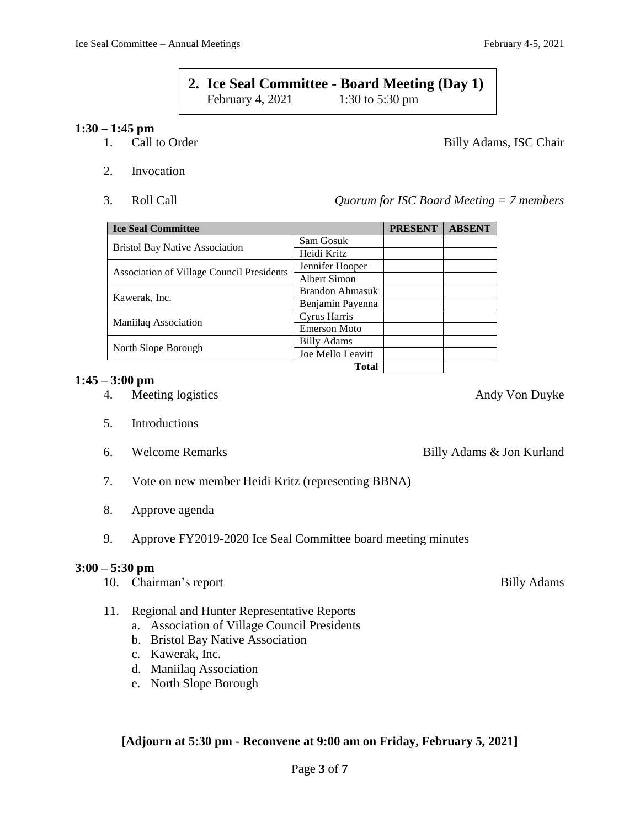# **2. Ice Seal Committee - Board Meeting (Day 1)**<br>February 4, 2021 1:30 to 5:30 pm February 4,  $2021$

## **1:30 – 1:45 pm**

- 1. Call to Order Billy Adams, ISC Chair
- 2. Invocation
- 

3. Roll Call *Quorum for ISC Board Meeting = 7 members*

| <b>Ice Seal Committee</b>                        |                        | <b>PRESENT</b> | <b>ABSENT</b> |
|--------------------------------------------------|------------------------|----------------|---------------|
|                                                  | Sam Gosuk              |                |               |
| <b>Bristol Bay Native Association</b>            | Heidi Kritz            |                |               |
|                                                  | Jennifer Hooper        |                |               |
| <b>Association of Village Council Presidents</b> | Albert Simon           |                |               |
| Kawerak, Inc.                                    | <b>Brandon Ahmasuk</b> |                |               |
|                                                  | Benjamin Payenna       |                |               |
|                                                  | Cyrus Harris           |                |               |
| Maniilaq Association                             | <b>Emerson Moto</b>    |                |               |
|                                                  | <b>Billy Adams</b>     |                |               |
| North Slope Borough                              | Joe Mello Leavitt      |                |               |
|                                                  | Total                  |                |               |

## **1:45 – 3:00 pm**

- 4. Meeting logistics Andy Von Duyke
- 5. Introductions
- 
- 7. Vote on new member Heidi Kritz (representing BBNA)
- 8. Approve agenda
- 9. Approve FY2019-2020 Ice Seal Committee board meeting minutes

# **3:00 – 5:30 pm**

- 10. Chairman's report Billy Adams
- 11. Regional and Hunter Representative Reports
	- a. Association of Village Council Presidents
	- b. Bristol Bay Native Association
	- c. Kawerak, Inc.
	- d. Maniilaq Association
	- e. North Slope Borough

# **[Adjourn at 5:30 pm - Reconvene at 9:00 am on Friday, February 5, 2021]**

6. Welcome Remarks Billy Adams & Jon Kurland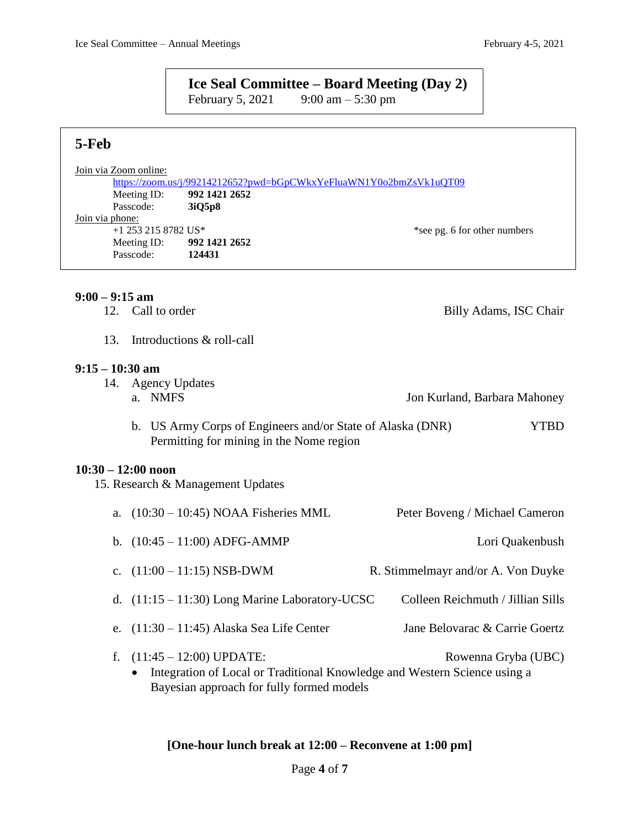# **Ice Seal Committee – <b>Board Meeting** (Day 2)<br>February 5, 2021 9:00 am – 5:30 pm

9:00 am – 5:30 pm

# **5-Feb**

| Join via Zoom online: |               |                                                                    |
|-----------------------|---------------|--------------------------------------------------------------------|
|                       |               | https://zoom.us/j/99214212652?pwd=bGpCWkxYeFluaWN1Y0o2bmZsVk1uQT09 |
| Meeting ID:           | 992 1421 2652 |                                                                    |
| Passcode:             | 3iO5p8        |                                                                    |
| Join via phone:       |               |                                                                    |
| $+1$ 253 215 8782 US* |               | *see pg. 6 for other numbers                                       |
| Meeting ID:           | 992 1421 2652 |                                                                    |
| Passcode:             | 124431        |                                                                    |
|                       |               |                                                                    |

## **9:00 – 9:15 am**

|                      | 12. Call to order                                                                                                                                   | Billy Adams, ISC Chair             |
|----------------------|-----------------------------------------------------------------------------------------------------------------------------------------------------|------------------------------------|
| 13.                  | Introductions & roll-call                                                                                                                           |                                    |
| $9:15 - 10:30$ am    | 14. Agency Updates                                                                                                                                  |                                    |
|                      | a. NMFS                                                                                                                                             | Jon Kurland, Barbara Mahoney       |
|                      | b. US Army Corps of Engineers and/or State of Alaska (DNR)<br>Permitting for mining in the Nome region                                              | <b>YTBD</b>                        |
| $10:30 - 12:00$ noon | 15. Research & Management Updates                                                                                                                   |                                    |
| a.                   | $(10:30 - 10:45)$ NOAA Fisheries MML                                                                                                                | Peter Boveng / Michael Cameron     |
|                      | b. $(10:45 - 11:00)$ ADFG-AMMP                                                                                                                      | Lori Quakenbush                    |
| $\mathbf{c}$ .       | $(11:00 - 11:15)$ NSB-DWM                                                                                                                           | R. Stimmelmayr and/or A. Von Duyke |
|                      | d. $(11:15 - 11:30)$ Long Marine Laboratory-UCSC                                                                                                    | Colleen Reichmuth / Jillian Sills  |
| e.                   | $(11:30 - 11:45)$ Alaska Sea Life Center                                                                                                            | Jane Belovarac & Carrie Goertz     |
| f.                   | $(11:45 - 12:00)$ UPDATE:<br>Integration of Local or Traditional Knowledge and Western Science using a<br>Bayesian approach for fully formed models | Rowenna Gryba (UBC)                |

# **[One-hour lunch break at 12:00 – Reconvene at 1:00 pm]**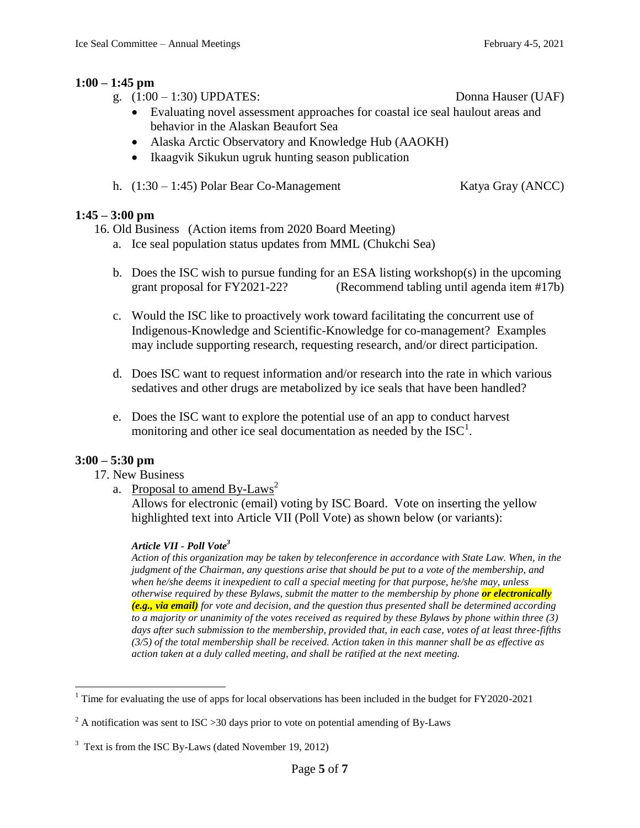## **1:00 – 1:45 pm**

- g. (1:00 1:30) UPDATES: Donna Hauser (UAF)
	- Evaluating novel assessment approaches for coastal ice seal haulout areas and behavior in the Alaskan Beaufort Sea
	- Alaska Arctic Observatory and Knowledge Hub (AAOKH)
	- Ikaagvik Sikukun ugruk hunting season publication
- h.  $(1:30 1:45)$  Polar Bear Co-Management Katya Gray (ANCC)

## **1:45 – 3:00 pm**

16. Old Business (Action items from 2020 Board Meeting)

- a. Ice seal population status updates from MML (Chukchi Sea)
- b. Does the ISC wish to pursue funding for an ESA listing workshop(s) in the upcoming grant proposal for FY2021-22? (Recommend tabling until agenda item #17b)
- c. Would the ISC like to proactively work toward facilitating the concurrent use of Indigenous-Knowledge and Scientific-Knowledge for co-management? Examples may include supporting research, requesting research, and/or direct participation.
- d. Does ISC want to request information and/or research into the rate in which various sedatives and other drugs are metabolized by ice seals that have been handled?
- e. Does the ISC want to explore the potential use of an app to conduct harvest monitoring and other ice seal documentation as needed by the  $ISC^1$ .

## **3:00 – 5:30 pm**

 $\overline{a}$ 

- 17. New Business
	- a. Proposal to amend  $By-Laws<sup>2</sup>$

Allows for electronic (email) voting by ISC Board. Vote on inserting the yellow highlighted text into Article VII (Poll Vote) as shown below (or variants):

## *Article VII - Poll Vote<sup>3</sup>*

*Action of this organization may be taken by teleconference in accordance with State Law. When, in the judgment of the Chairman, any questions arise that should be put to a vote of the membership, and when he/she deems it inexpedient to call a special meeting for that purpose, he/she may, unless otherwise required by these Bylaws, submit the matter to the membership by phone or electronically (e.g., via email) for vote and decision, and the question thus presented shall be determined according to a majority or unanimity of the votes received as required by these Bylaws by phone within three (3) days after such submission to the membership, provided that, in each case, votes of at least three-fifths (3/5) of the total membership shall be received. Action taken in this manner shall be as effective as action taken at a duly called meeting, and shall be ratified at the next meeting.*

 $1$  Time for evaluating the use of apps for local observations has been included in the budget for FY2020-2021

 $^{2}$  A notification was sent to ISC > 30 days prior to vote on potential amending of By-Laws

 $3$  Text is from the ISC By-Laws (dated November 19, 2012)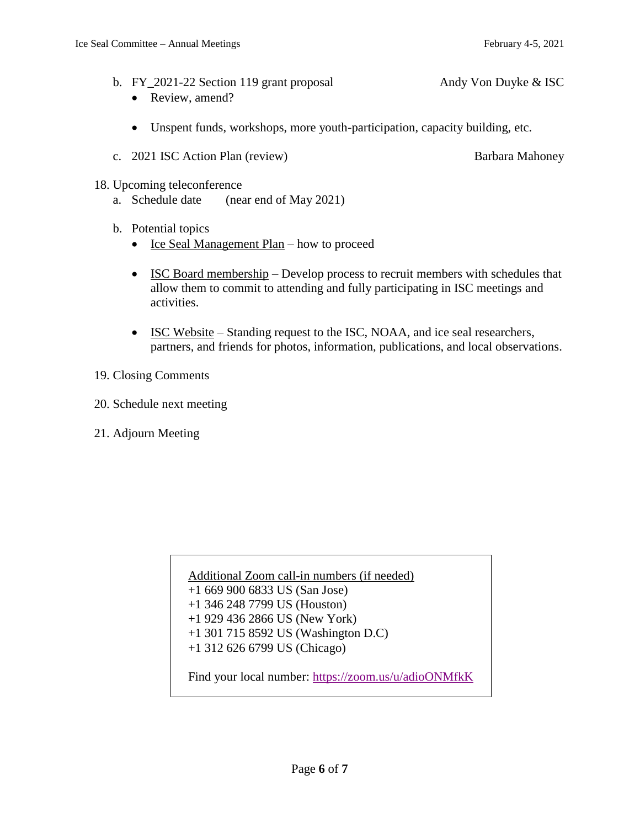- b. FY\_2021-22 Section 119 grant proposal Andy Von Duyke & ISC
	- Review, amend?
	- Unspent funds, workshops, more youth-participation, capacity building, etc.
- c. 2021 ISC Action Plan (review) Barbara Mahoney
	-

- 18. Upcoming teleconference
	- a. Schedule date (near end of May 2021)
	- b. Potential topics
		- Ice Seal Management Plan how to proceed
		- ISC Board membership Develop process to recruit members with schedules that allow them to commit to attending and fully participating in ISC meetings and activities.
		- ISC Website Standing request to the ISC, NOAA, and ice seal researchers, partners, and friends for photos, information, publications, and local observations.
- 19. Closing Comments
- 20. Schedule next meeting
- 21. Adjourn Meeting

Additional Zoom call-in numbers (if needed) +1 669 900 6833 US (San Jose) +1 346 248 7799 US (Houston) +1 929 436 2866 US (New York) +1 301 715 8592 US (Washington D.C) +1 312 626 6799 US (Chicago) Find your local number:<https://zoom.us/u/adioONMfkK>